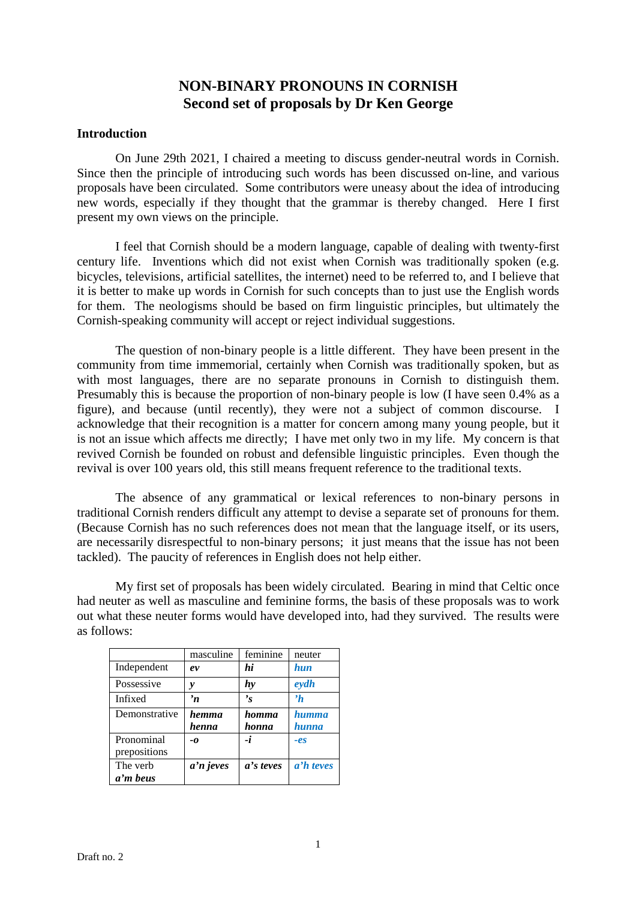# **NON-BINARY PRONOUNS IN CORNISH Second set of proposals by Dr Ken George**

# **Introduction**

 On June 29th 2021, I chaired a meeting to discuss gender-neutral words in Cornish. Since then the principle of introducing such words has been discussed on-line, and various proposals have been circulated. Some contributors were uneasy about the idea of introducing new words, especially if they thought that the grammar is thereby changed. Here I first present my own views on the principle.

 I feel that Cornish should be a modern language, capable of dealing with twenty-first century life. Inventions which did not exist when Cornish was traditionally spoken (e.g. bicycles, televisions, artificial satellites, the internet) need to be referred to, and I believe that it is better to make up words in Cornish for such concepts than to just use the English words for them. The neologisms should be based on firm linguistic principles, but ultimately the Cornish-speaking community will accept or reject individual suggestions.

 The question of non-binary people is a little different. They have been present in the community from time immemorial, certainly when Cornish was traditionally spoken, but as with most languages, there are no separate pronouns in Cornish to distinguish them. Presumably this is because the proportion of non-binary people is low (I have seen 0.4% as a figure), and because (until recently), they were not a subject of common discourse. I acknowledge that their recognition is a matter for concern among many young people, but it is not an issue which affects me directly; I have met only two in my life. My concern is that revived Cornish be founded on robust and defensible linguistic principles. Even though the revival is over 100 years old, this still means frequent reference to the traditional texts.

 The absence of any grammatical or lexical references to non-binary persons in traditional Cornish renders difficult any attempt to devise a separate set of pronouns for them. (Because Cornish has no such references does not mean that the language itself, or its users, are necessarily disrespectful to non-binary persons; it just means that the issue has not been tackled). The paucity of references in English does not help either.

 My first set of proposals has been widely circulated. Bearing in mind that Celtic once had neuter as well as masculine and feminine forms, the basis of these proposals was to work out what these neuter forms would have developed into, had they survived. The results were as follows:

|               | masculine   | feminine       | neuter       |
|---------------|-------------|----------------|--------------|
| Independent   | ev          | hi             | hun          |
| Possessive    | v           | hy             | eydh         |
| Infixed       | n           | $\mathbf{r}_s$ | $\mathbf{h}$ |
| Demonstrative | hemma       | homma          | <i>humma</i> |
|               | henna       | honna          | <b>hunna</b> |
| Pronominal    | -0          | -i             | $-es$        |
| prepositions  |             |                |              |
| The verb      | $a'n$ jeves | a's teves      | a'h teves    |
| a'm beus      |             |                |              |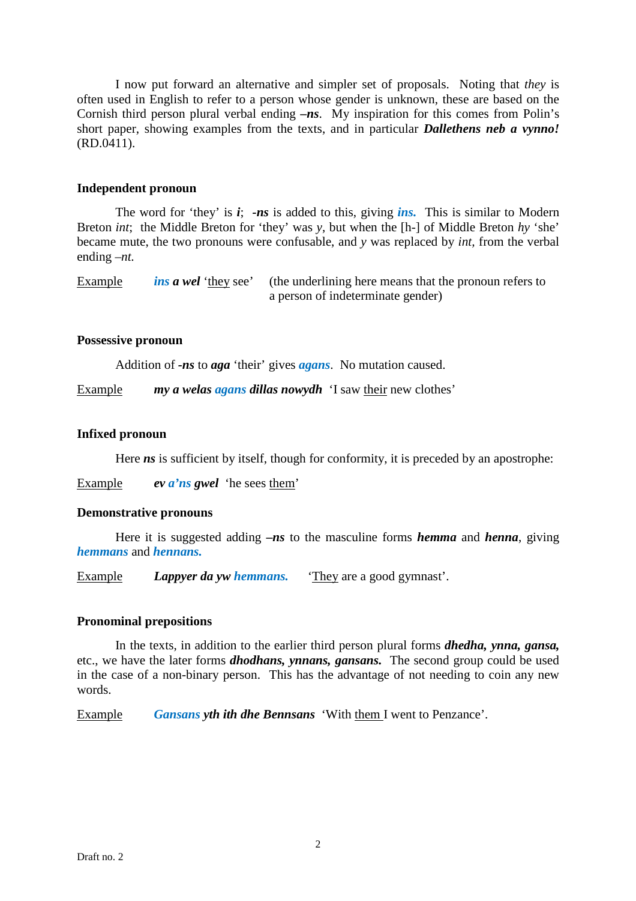I now put forward an alternative and simpler set of proposals. Noting that *they* is often used in English to refer to a person whose gender is unknown, these are based on the Cornish third person plural verbal ending *–ns*. My inspiration for this comes from Polin's short paper, showing examples from the texts, and in particular *Dallethens neb a vynno!*  (RD.0411).

## **Independent pronoun**

The word for 'they' is *i*; *-ns* is added to this, giving *ins.* This is similar to Modern Breton *int*; the Middle Breton for 'they' was *y*, but when the [h-] of Middle Breton *hy* 'she' became mute, the two pronouns were confusable, and *y* was replaced by *int,* from the verbal ending *–nt.*

Example *ins a wel* 'they see' (the underlining here means that the pronoun refers to a person of indeterminate gender)

### **Possessive pronoun**

Addition of *-ns* to *aga* 'their' gives *agans*. No mutation caused.

Example *my a welas agans dillas nowydh* 'I saw their new clothes'

# **Infixed pronoun**

Here *ns* is sufficient by itself, though for conformity, it is preceded by an apostrophe:

Example *ev a'ns gwel* 'he sees them'

## **Demonstrative pronouns**

 Here it is suggested adding *–ns* to the masculine forms *hemma* and *henna*, giving *hemmans* and *hennans.*

Example *Lappyer da yw hemmans*. 'They are a good gymnast'.

### **Pronominal prepositions**

In the texts, in addition to the earlier third person plural forms *dhedha, ynna, gansa,* etc., we have the later forms *dhodhans, ynnans, gansans.* The second group could be used in the case of a non-binary person. This has the advantage of not needing to coin any new words.

Example *Gansans yth ith dhe Bennsans* 'With them I went to Penzance'.